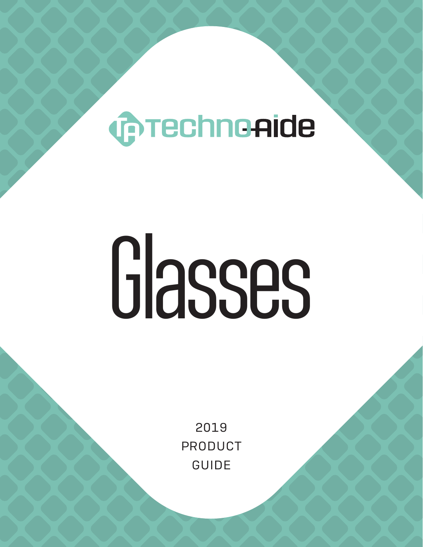# **COTECHNOAIDE**

# Glasses

2019 PRODUCT GUIDE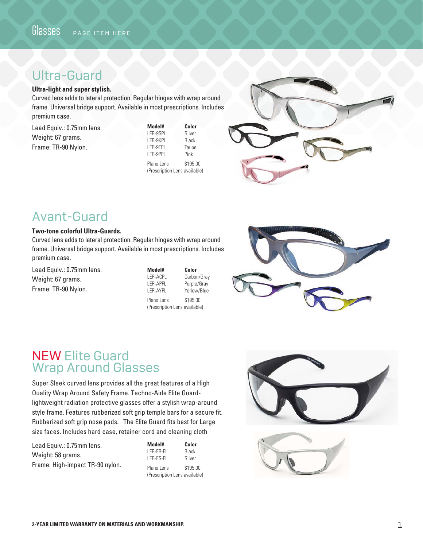# Ultra-Guard

### **Ultra-light and super stylish.**

Curved lens adds to lateral protection. Regular hinges with wrap around frame. Universal bridge support. Available in most prescriptions. Includes premium case.

Lead Equiv.: 0.75mm lens. Weight: 67 grams. Frame: TR-90 Nylon.

| Model#     | Color    |
|------------|----------|
| LER-9SPL   | Silver   |
| LER-9KPL   | Black    |
| I FR-9TPI  | Taupe    |
| I FR-9PPI  | Pink     |
| Plano Lens | \$195.00 |

(Prescription Lens available)



# Avant-Guard

### **Two-tone colorful Ultra-Guards.**

Curved lens adds to lateral protection. Regular hinges with wrap around frame. Universal bridge support. Available in most prescriptions. Includes premium case.

Lead Equiv.: 0.75mm lens. Weight: 67 grams. Frame: TR-90 Nylon.

| Model#     | Color       |
|------------|-------------|
| LER-ACPL   | Carbon/Gray |
| LER-APPL   | Purple/Gray |
| I FR-AYPI  | Yellow/Blue |
| Plano Lens | \$195.00    |

Plano Lens \$195.00 (Prescription Lens available)



# NEW Elite Guard Wrap Around Glasses

Super Sleek curved lens provides all the great features of a High Quality Wrap Around Safety Frame. Techno-Aide Elite Guardlightweight radiation protective glasses offer a stylish wrap-around style frame. Features rubberized soft grip temple bars for a secure fit. Rubberized soft grip nose pads. The Elite Guard fits best for Large size faces. Includes hard case, retainer cord and cleaning cloth

Lead Equiv.: 0.75mm lens. Weight: 58 grams. Frame: High-impact TR-90 nylon.

| Model#                        | Color    |
|-------------------------------|----------|
| I FR-FR-PI                    | Black    |
| LER-ES-PL                     | Silver   |
| Plano Lens                    | \$195.00 |
| (Prescription Lens available) |          |



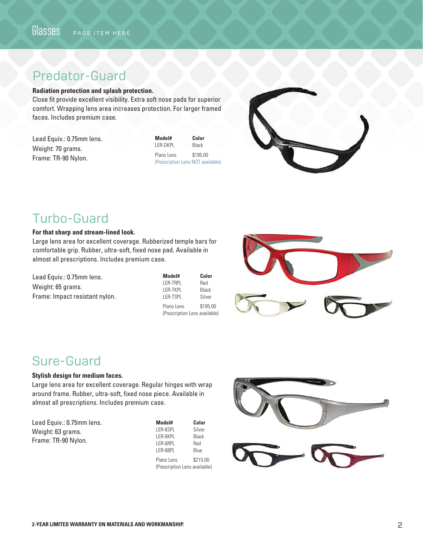# Predator-Guard

### **Radiation protection and splash protection.**

Close fit provide excellent visibility. Extra soft nose pads for superior comfort. Wrapping lens area increases protection. For larger framed faces. Includes premium case.

| Lead Equiv.: 0.75mm lens. |
|---------------------------|
| Weight: 70 grams.         |
| Frame: TR-90 Nylon.       |

| Model#                            | Color    |
|-----------------------------------|----------|
| LER-DKPL                          | Black    |
| Plano Lens                        | \$195.00 |
| (Prescription Lens NOT available) |          |



# Turbo-Guard

### **For that sharp and stream-lined look.**

Large lens area for excellent coverage. Rubberized temple bars for comfortable grip. Rubber, ultra-soft, fixed nose pad. Available in almost all prescriptions. Includes premium case.

Lead Equiv.: 0.75mm lens. Weight: 65 grams. Frame: Impact resistant nylon.

| Model#                        | Color    |
|-------------------------------|----------|
| LER-TRPL                      | Red      |
| I FR-TKPI                     | Black    |
| LER-TSPL                      | Silver   |
| Plano Lens                    | \$195.00 |
| (Prescription Lens available) |          |



# Sure-Guard

### **Stylish design for medium faces.**

Large lens area for excellent coverage. Regular hinges with wrap around frame. Rubber, ultra-soft, fixed nose piece. Available in almost all prescriptions. Includes premium case.

Lead Equiv.: 0.75mm lens. Weight: 63 grams. Frame: TR-90 Nylon.

| Model#                        | Color       |
|-------------------------------|-------------|
| LER-6SPL                      | Silver      |
| LER-6KPL                      | Black       |
| LER-6RPL                      | Red         |
| LER-6BPL                      | <b>Blue</b> |
| Plano Lens                    | \$215.00    |
| (Prescription Lens available) |             |

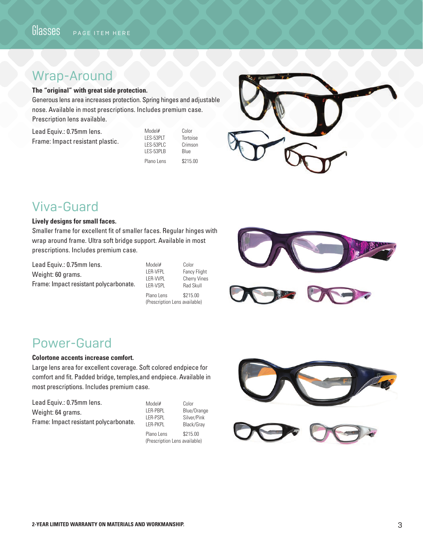# Wrap-Around

### **The "original" with great side protection.**

Generous lens area increases protection. Spring hinges and adjustable nose. Available in most prescriptions. Includes premium case. Prescription lens available.

| Lead Equiv.: 0.75mm lens.        |
|----------------------------------|
| Frame: Impact resistant plastic. |

| Color    |
|----------|
| Tortoise |
| Crimson  |
| Blue     |
| \$215.00 |
|          |



# Viva-Guard

### **Lively designs for small faces.**

Smaller frame for excellent fit of smaller faces. Regular hinges with wrap around frame. Ultra soft bridge support. Available in most prescriptions. Includes premium case.

Lead Equiv.: 0.75mm lens. Weight: 60 grams. Frame: Impact resistant polycarbonate. Model# Color LER-VFPL Fancy Flight LER-VVPL Cherry Vines LER-VSPL Rad Skull Plano Lens \$215.00 (Prescription Lens available)



# Power-Guard

### **Colortone accents increase comfort.**

Large lens area for excellent coverage. Soft colored endpiece for comfort and fit. Padded bridge, temples,and endpiece. Available in most prescriptions. Includes premium case.

| Lead Equiv.: 0.75mm lens.              | Model#          |
|----------------------------------------|-----------------|
| Weight: 64 grams.                      | LER-PBPL        |
|                                        | <b>LER-PSPL</b> |
| Frame: Impact resistant polycarbonate. | I FR-PKPL       |

Silver/Pink Black/Gray Plano Lens \$215.00

Color Blue/Orange

(Prescription Lens available)



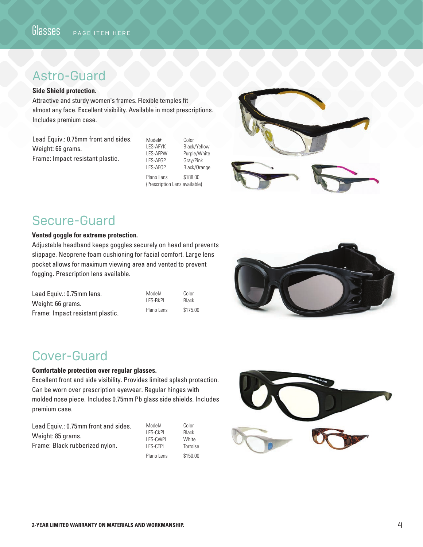# Astro-Guard

### **Side Shield protection.**

Attractive and sturdy women's frames. Flexible temples fit almost any face. Excellent visibility. Available in most prescriptions. Includes premium case.

Lead Equiv.: 0.75mm front and sides. Weight: 66 grams. Frame: Impact resistant plastic.

Model# Color<br>LES-AFYK Black LES-AFYK Black/Yellow<br>LES-AFPW Purple/White Purple/White LES-AFGP Gray/Pink<br>LES-AFOP Black/Ora Black/Orange

Plano Lens \$188.00 (Prescription Lens available)



# Secure-Guard

### **Vented goggle for extreme protection.**

Adjustable headband keeps goggles securely on head and prevents slippage. Neoprene foam cushioning for facial comfort. Large lens pocket allows for maximum viewing area and vented to prevent fogging. Prescription lens available.

| Lead Equiv.: 0.75mm lens.        | Model#     | Color    |
|----------------------------------|------------|----------|
| Weight: 66 grams.                | LES-RKPL   | Black    |
| Frame: Impact resistant plastic. | Plano Lens | \$175.00 |



# Cover-Guard

### **Comfortable protection over regular glasses.**

Excellent front and side visibility. Provides limited splash protection. Can be worn over prescription eyewear. Regular hinges with molded nose piece. Includes 0.75mm Pb glass side shields. Includes premium case.

| Lead Equiv.: 0.75mm front and sides. | Model#          | Color        |
|--------------------------------------|-----------------|--------------|
|                                      | LES-CKPL        | Black        |
| Weight: 85 grams.                    | LES-CWPL        | <b>White</b> |
| Frame: Black rubberized nylon.       | <b>LES-CTPL</b> | Tortoise     |
|                                      | Plano Lens      | \$150.00     |